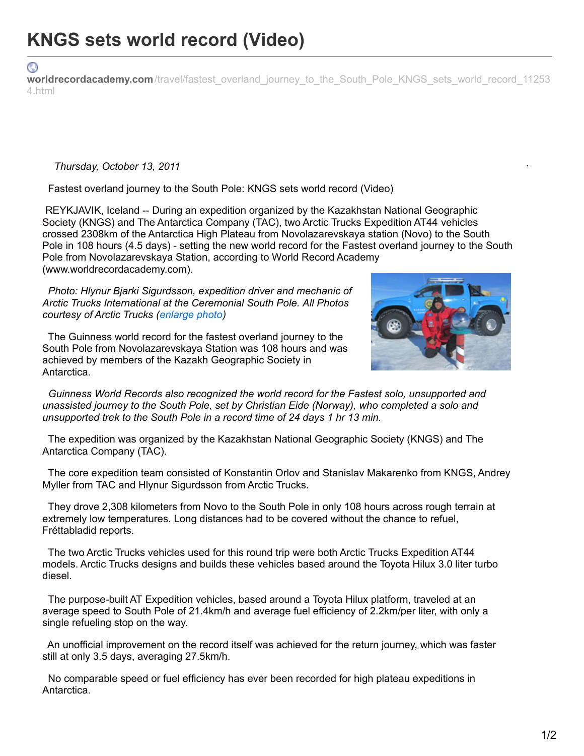⊙ worldrecordacademy.com[/travel/fastest\\_overland\\_journey\\_to\\_the\\_South\\_Pole\\_KNGS\\_sets\\_world\\_record\\_11253](http://www.worldrecordacademy.com/travel/fastest_overland_journey_to_the_South_Pole_KNGS_sets_world_record_112534.html) 4.html

## *Thursday, October 13, 2011*

Fastest overland journey to the South Pole: KNGS sets world record (Video)

REYKJAVIK, Iceland -- During an expedition organized by the Kazakhstan National Geographic Society (KNGS) and The Antarctica Company (TAC), two Arctic Trucks Expedition AT44 vehicles crossed 2308km of the Antarctica High Plateau from Novolazarevskaya station (Novo) to the South Pole in 108 hours (4.5 days) - setting the new world record for the Fastest overland journey to the South Pole from Novolazarevskaya Station, according to World Record Academy (www.worldrecordacademy.com).

*Photo: Hlynur Bjarki Sigurdsson, expedition driver and mechanic of Arctic Trucks International at the Ceremonial South Pole. All Photos courtesy of Arctic Trucks [\(enlarge](http://www.worldrecordacademy.com/travel/img/112534-1_fastest_overland_journey_to_South_Pole.jpg) photo)*

The Guinness world record for the fastest overland journey to the South Pole from Novolazarevskaya Station was 108 hours and was achieved by members of the Kazakh Geographic Society in Antarctica.

*Guinness World Records also recognized the world record for the Fastest solo, unsupported and unassisted journey to the South Pole, set by Christian Eide (Norway), who completed a solo and unsupported trek to the South Pole in a record time of 24 days 1 hr 13 min.*

The expedition was organized by the Kazakhstan National Geographic Society (KNGS) and The Antarctica Company (TAC).

The core expedition team consisted of Konstantin Orlov and Stanislav Makarenko from KNGS, Andrey Myller from TAC and Hlynur Sigurdsson from Arctic Trucks.

They drove 2,308 kilometers from Novo to the South Pole in only 108 hours across rough terrain at extremely low temperatures. Long distances had to be covered without the chance to refuel, Fréttabladid reports.

The two Arctic Trucks vehicles used for this round trip were both Arctic Trucks Expedition AT44 models. Arctic Trucks designs and builds these vehicles based around the Toyota Hilux 3.0 liter turbo diesel.

The purpose-built AT Expedition vehicles, based around a Toyota Hilux platform, traveled at an average speed to South Pole of 21.4km/h and average fuel efficiency of 2.2km/per liter, with only a single refueling stop on the way.

An unofficial improvement on the record itself was achieved for the return journey, which was faster still at only 3.5 days, averaging 27.5km/h.

No comparable speed or fuel efficiency has ever been recorded for high plateau expeditions in Antarctica.



.